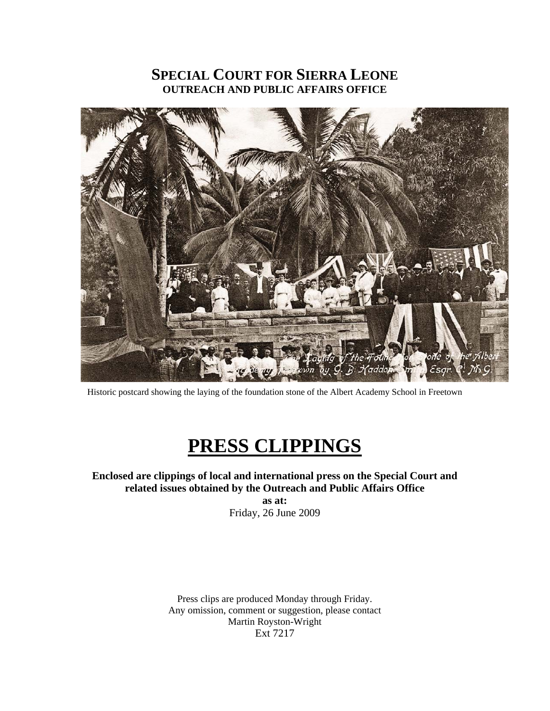# **SPECIAL COURT FOR SIERRA LEONE OUTREACH AND PUBLIC AFFAIRS OFFICE**



Historic postcard showing the laying of the foundation stone of the Albert Academy School in Freetown

# **PRESS CLIPPINGS**

# **Enclosed are clippings of local and international press on the Special Court and related issues obtained by the Outreach and Public Affairs Office**

**as at:**  Friday, 26 June 2009

Press clips are produced Monday through Friday. Any omission, comment or suggestion, please contact Martin Royston-Wright Ext 7217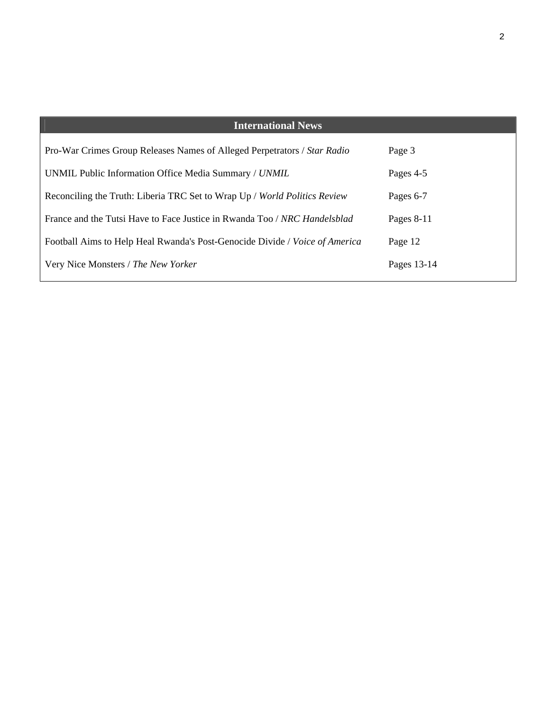| <b>International News</b>                                                   |             |
|-----------------------------------------------------------------------------|-------------|
|                                                                             |             |
| Pro-War Crimes Group Releases Names of Alleged Perpetrators / Star Radio    | Page 3      |
| UNMIL Public Information Office Media Summary / UNMIL                       | Pages 4-5   |
| Reconciling the Truth: Liberia TRC Set to Wrap Up / World Politics Review   | Pages 6-7   |
| France and the Tutsi Have to Face Justice in Rwanda Too / NRC Handelsblad   | Pages 8-11  |
| Football Aims to Help Heal Rwanda's Post-Genocide Divide / Voice of America | Page 12     |
| Very Nice Monsters / The New Yorker                                         | Pages 13-14 |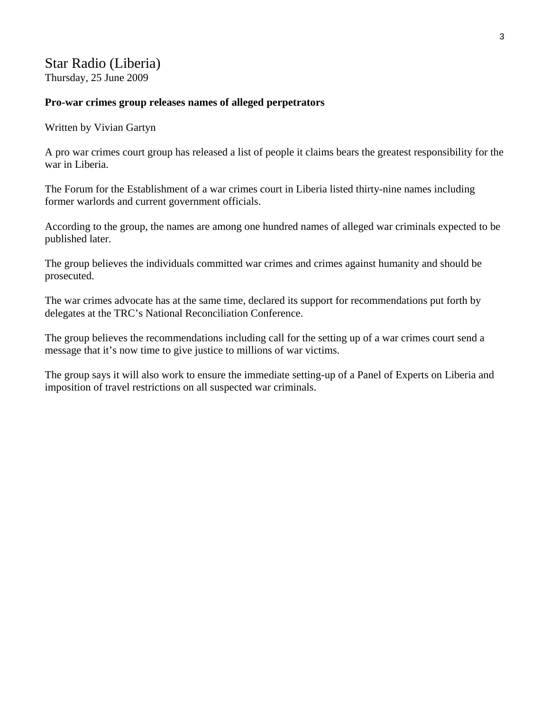# Star Radio (Liberia) Thursday, 25 June 2009

#### **Pro-war crimes group releases names of alleged perpetrators**

Written by Vivian Gartyn

A pro war crimes court group has released a list of people it claims bears the greatest responsibility for the war in Liberia.

The Forum for the Establishment of a war crimes court in Liberia listed thirty-nine names including former warlords and current government officials.

According to the group, the names are among one hundred names of alleged war criminals expected to be published later.

The group believes the individuals committed war crimes and crimes against humanity and should be prosecuted.

The war crimes advocate has at the same time, declared its support for recommendations put forth by delegates at the TRC's National Reconciliation Conference.

The group believes the recommendations including call for the setting up of a war crimes court send a message that it's now time to give justice to millions of war victims.

The group says it will also work to ensure the immediate setting-up of a Panel of Experts on Liberia and imposition of travel restrictions on all suspected war criminals.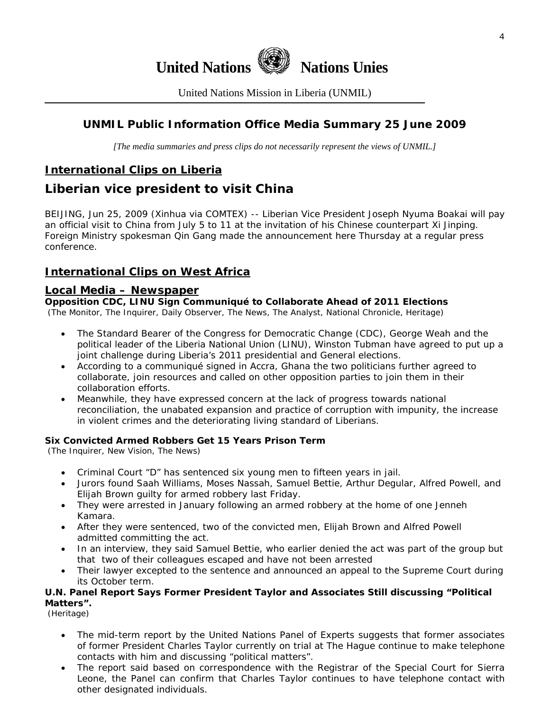

United Nations Mission in Liberia (UNMIL)

# **UNMIL Public Information Office Media Summary 25 June 2009**

*[The media summaries and press clips do not necessarily represent the views of UNMIL.]* 

# **International Clips on Liberia**

# **Liberian vice president to visit China**

BEIJING, Jun 25, 2009 (Xinhua via COMTEX) -- Liberian Vice President Joseph Nyuma Boakai will pay an official visit to China from July 5 to 11 at the invitation of his Chinese counterpart Xi Jinping. Foreign Ministry spokesman Qin Gang made the announcement here Thursday at a regular press conference.

# **International Clips on West Africa**

#### **Local Media – Newspaper**

**Opposition CDC, LINU Sign Communiqué to Collaborate Ahead of 2011 Elections** 

(The Monitor, The Inquirer, Daily Observer, The News, The Analyst, National Chronicle, Heritage)

- The Standard Bearer of the Congress for Democratic Change (CDC), George Weah and the political leader of the Liberia National Union (LINU), Winston Tubman have agreed to put up a joint challenge during Liberia's 2011 presidential and General elections.
- According to a communiqué signed in Accra, Ghana the two politicians further agreed to collaborate, join resources and called on other opposition parties to join them in their collaboration efforts.
- Meanwhile, they have expressed concern at the lack of progress towards national reconciliation, the unabated expansion and practice of corruption with impunity, the increase in violent crimes and the deteriorating living standard of Liberians.

#### **Six Convicted Armed Robbers Get 15 Years Prison Term**

(The Inquirer, New Vision, The News)

- Criminal Court "D" has sentenced six young men to fifteen years in jail.
- Jurors found Saah Williams, Moses Nassah, Samuel Bettie, Arthur Degular, Alfred Powell, and Elijah Brown guilty for armed robbery last Friday.
- They were arrested in January following an armed robbery at the home of one Jenneh Kamara.
- After they were sentenced, two of the convicted men, Elijah Brown and Alfred Powell admitted committing the act.
- In an interview, they said Samuel Bettie, who earlier denied the act was part of the group but that two of their colleagues escaped and have not been arrested
- Their lawyer excepted to the sentence and announced an appeal to the Supreme Court during its October term.

#### **U.N. Panel Report Says Former President Taylor and Associates Still discussing "Political Matters".**

(Heritage)

- The mid-term report by the United Nations Panel of Experts suggests that former associates of former President Charles Taylor currently on trial at The Hague continue to make telephone contacts with him and discussing "political matters".
- The report said based on correspondence with the Registrar of the Special Court for Sierra Leone, the Panel can confirm that Charles Taylor continues to have telephone contact with other designated individuals.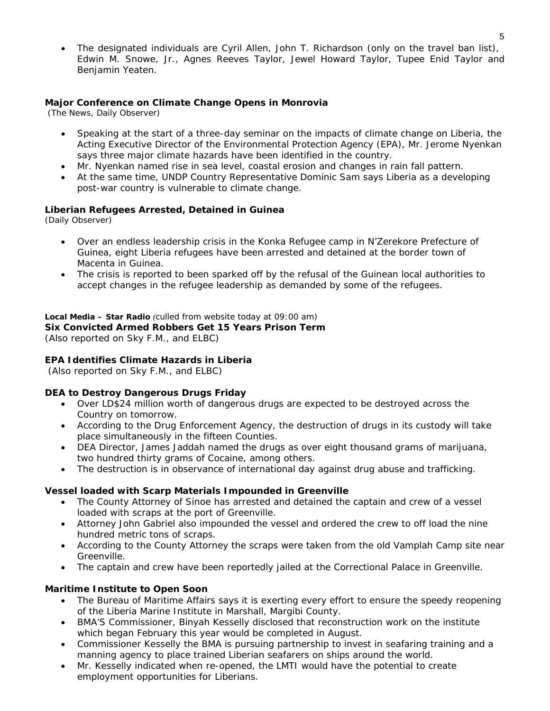The designated individuals are Cyril Allen, John T. Richardson (only on the travel ban list), Edwin M. Snowe, Jr., Agnes Reeves Taylor, Jewel Howard Taylor, Tupee Enid Taylor and Benjamin Yeaten.

#### **Major Conference on Climate Change Opens in Monrovia**

(The News, Daily Observer)

- Speaking at the start of a three-day seminar on the impacts of climate change on Liberia, the Acting Executive Director of the Environmental Protection Agency (EPA), Mr. Jerome Nyenkan says three major climate hazards have been identified in the country.
- Mr. Nyenkan named rise in sea level, coastal erosion and changes in rain fall pattern.
- At the same time, UNDP Country Representative Dominic Sam says Liberia as a developing post-war country is vulnerable to climate change.

#### **Liberian Refugees Arrested, Detained in Guinea**

(Daily Observer)

- Over an endless leadership crisis in the Konka Refugee camp in N'Zerekore Prefecture of Guinea, eight Liberia refugees have been arrested and detained at the border town of Macenta in Guinea.
- The crisis is reported to been sparked off by the refusal of the Guinean local authorities to accept changes in the refugee leadership as demanded by some of the refugees.

# **Local Media – Star Radio** *(culled from website today at 09:00 am)*

# **Six Convicted Armed Robbers Get 15 Years Prison Term**

(*Also reported on Sky F.M., and ELBC*)

#### **EPA Identifies Climate Hazards in Liberia**

(*Also reported on Sky F.M., and ELBC*)

#### **DEA to Destroy Dangerous Drugs Friday**

- Over LD\$24 million worth of dangerous drugs are expected to be destroyed across the Country on tomorrow.
- According to the Drug Enforcement Agency, the destruction of drugs in its custody will take place simultaneously in the fifteen Counties.
- DEA Director, James Jaddah named the drugs as over eight thousand grams of marijuana, two hundred thirty grams of Cocaine, among others.
- The destruction is in observance of international day against drug abuse and trafficking.

#### **Vessel loaded with Scarp Materials Impounded in Greenville**

- The County Attorney of Sinoe has arrested and detained the captain and crew of a vessel loaded with scraps at the port of Greenville.
- Attorney John Gabriel also impounded the vessel and ordered the crew to off load the nine hundred metric tons of scraps.
- According to the County Attorney the scraps were taken from the old Vamplah Camp site near Greenville.
- The captain and crew have been reportedly jailed at the Correctional Palace in Greenville.

#### **Maritime Institute to Open Soon**

- The Bureau of Maritime Affairs says it is exerting every effort to ensure the speedy reopening of the Liberia Marine Institute in Marshall, Margibi County.
- BMA'S Commissioner, Binyah Kesselly disclosed that reconstruction work on the institute which began February this year would be completed in August.
- Commissioner Kesselly the BMA is pursuing partnership to invest in seafaring training and a manning agency to place trained Liberian seafarers on ships around the world.
- Mr. Kesselly indicated when re-opened, the LMTI would have the potential to create employment opportunities for Liberians.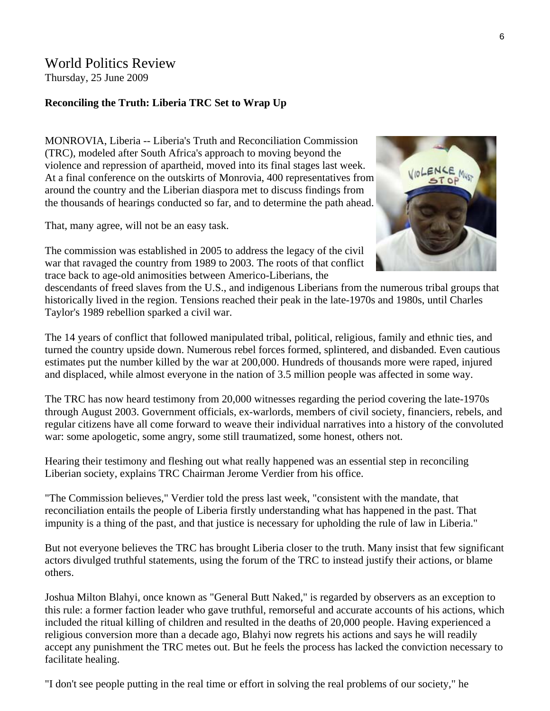# World Politics Review Thursday, 25 June 2009

# **Reconciling the Truth: Liberia TRC Set to Wrap Up**

MONROVIA, Liberia -- Liberia's Truth and Reconciliation Commission (TRC), modeled after South Africa's approach to moving beyond the violence and repression of apartheid, moved into its final stages last week. At a final conference on the outskirts of Monrovia, 400 representatives from around the country and the Liberian diaspora met to discuss findings from the thousands of hearings conducted so far, and to determine the path ahead.

That, many agree, will not be an easy task.

The commission was established in 2005 to address the legacy of the civil war that ravaged the country from 1989 to 2003. The roots of that conflict trace back to age-old animosities between Americo-Liberians, the



descendants of freed slaves from the U.S., and indigenous Liberians from the numerous tribal groups that historically lived in the region. Tensions reached their peak in the late-1970s and 1980s, until Charles Taylor's 1989 rebellion sparked a civil war.

The 14 years of conflict that followed manipulated tribal, political, religious, family and ethnic ties, and turned the country upside down. Numerous rebel forces formed, splintered, and disbanded. Even cautious estimates put the number killed by the war at 200,000. Hundreds of thousands more were raped, injured and displaced, while almost everyone in the nation of 3.5 million people was affected in some way.

The TRC has now heard testimony from 20,000 witnesses regarding the period covering the late-1970s through August 2003. Government officials, ex-warlords, members of civil society, financiers, rebels, and regular citizens have all come forward to weave their individual narratives into a history of the convoluted war: some apologetic, some angry, some still traumatized, some honest, others not.

Hearing their testimony and fleshing out what really happened was an essential step in reconciling Liberian society, explains TRC Chairman Jerome Verdier from his office.

"The Commission believes," Verdier told the press last week, "consistent with the mandate, that reconciliation entails the people of Liberia firstly understanding what has happened in the past. That impunity is a thing of the past, and that justice is necessary for upholding the rule of law in Liberia."

But not everyone believes the TRC has brought Liberia closer to the truth. Many insist that few significant actors divulged truthful statements, using the forum of the TRC to instead justify their actions, or blame others.

Joshua Milton Blahyi, once known as "General Butt Naked," is regarded by observers as an exception to this rule: a former faction leader who gave truthful, remorseful and accurate accounts of his actions, which included the ritual killing of children and resulted in the deaths of 20,000 people. Having experienced a religious conversion more than a decade ago, Blahyi now regrets his actions and says he will readily accept any punishment the TRC metes out. But he feels the process has lacked the conviction necessary to facilitate healing.

"I don't see people putting in the real time or effort in solving the real problems of our society," he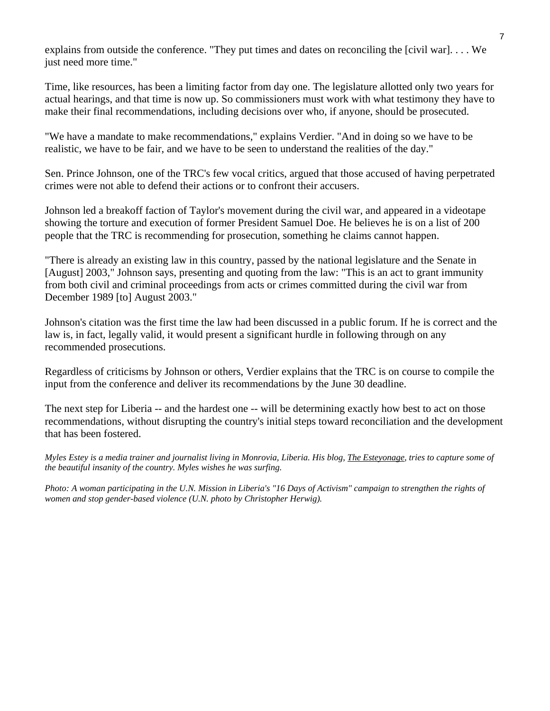explains from outside the conference. "They put times and dates on reconciling the [civil war]. . . . We just need more time."

Time, like resources, has been a limiting factor from day one. The legislature allotted only two years for actual hearings, and that time is now up. So commissioners must work with what testimony they have to make their final recommendations, including decisions over who, if anyone, should be prosecuted.

"We have a mandate to make recommendations," explains Verdier. "And in doing so we have to be realistic, we have to be fair, and we have to be seen to understand the realities of the day."

Sen. Prince Johnson, one of the TRC's few vocal critics, argued that those accused of having perpetrated crimes were not able to defend their actions or to confront their accusers.

Johnson led a breakoff faction of Taylor's movement during the civil war, and appeared in a videotape showing the torture and execution of former President Samuel Doe. He believes he is on a list of 200 people that the TRC is recommending for prosecution, something he claims cannot happen.

"There is already an existing law in this country, passed by the national legislature and the Senate in [August] 2003," Johnson says, presenting and quoting from the law: "This is an act to grant immunity from both civil and criminal proceedings from acts or crimes committed during the civil war from December 1989 [to] August 2003."

Johnson's citation was the first time the law had been discussed in a public forum. If he is correct and the law is, in fact, legally valid, it would present a significant hurdle in following through on any recommended prosecutions.

Regardless of criticisms by Johnson or others, Verdier explains that the TRC is on course to compile the input from the conference and deliver its recommendations by the June 30 deadline.

The next step for Liberia -- and the hardest one -- will be determining exactly how best to act on those recommendations, without disrupting the country's initial steps toward reconciliation and the development that has been fostered.

*Myles Estey is a media trainer and journalist living in Monrovia, Liberia. His blog, [The Esteyonage](http://www.esteyonage.blogspot.com/), tries to capture some of the beautiful insanity of the country. Myles wishes he was surfing.* 

*Photo: A woman participating in the U.N. Mission in Liberia's "16 Days of Activism" campaign to strengthen the rights of women and stop gender-based violence (U.N. photo by Christopher Herwig).*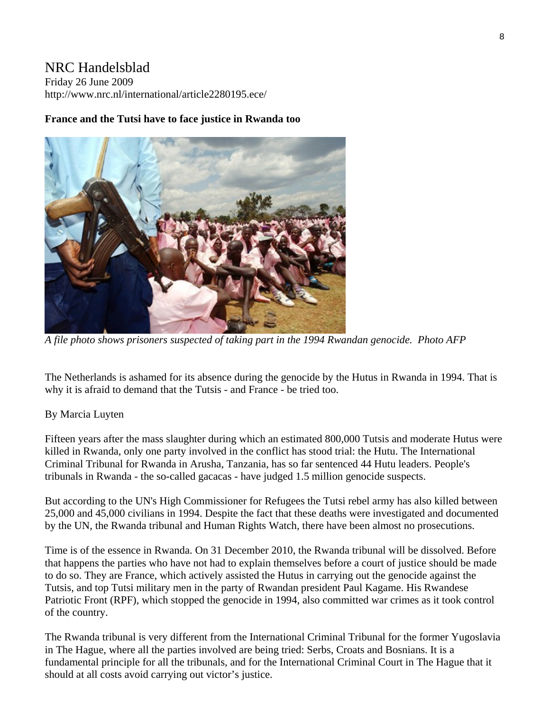# NRC Handelsblad

Friday 26 June 2009 http://www.nrc.nl/international/article2280195.ece/

# **France and the Tutsi have to face justice in Rwanda too**



*A file photo shows prisoners suspected of taking part in the 1994 Rwandan genocide. Photo AFP* 

The Netherlands is ashamed for its absence during the genocide by the Hutus in Rwanda in 1994. That is why it is afraid to demand that the Tutsis - and France - be tried too.

# By Marcia Luyten

Fifteen years after the mass slaughter during which an estimated 800,000 Tutsis and moderate Hutus were killed in Rwanda, only one party involved in the conflict has stood trial: the Hutu. The International Criminal Tribunal for Rwanda in Arusha, Tanzania, has so far sentenced 44 Hutu leaders. People's tribunals in Rwanda - the so-called gacacas - have judged 1.5 million genocide suspects.

But according to the UN's High Commissioner for Refugees the Tutsi rebel army has also killed between 25,000 and 45,000 civilians in 1994. Despite the fact that these deaths were investigated and documented by the UN, the Rwanda tribunal and Human Rights Watch, there have been almost no prosecutions.

Time is of the essence in Rwanda. On 31 December 2010, the Rwanda tribunal will be dissolved. Before that happens the parties who have not had to explain themselves before a court of justice should be made to do so. They are France, which actively assisted the Hutus in carrying out the genocide against the Tutsis, and top Tutsi military men in the party of Rwandan president Paul Kagame. His Rwandese Patriotic Front (RPF), which stopped the genocide in 1994, also committed war crimes as it took control of the country.

The Rwanda tribunal is very different from the International Criminal Tribunal for the former Yugoslavia in The Hague, where all the parties involved are being tried: Serbs, Croats and Bosnians. It is a fundamental principle for all the tribunals, and for the International Criminal Court in The Hague that it should at all costs avoid carrying out victor's justice.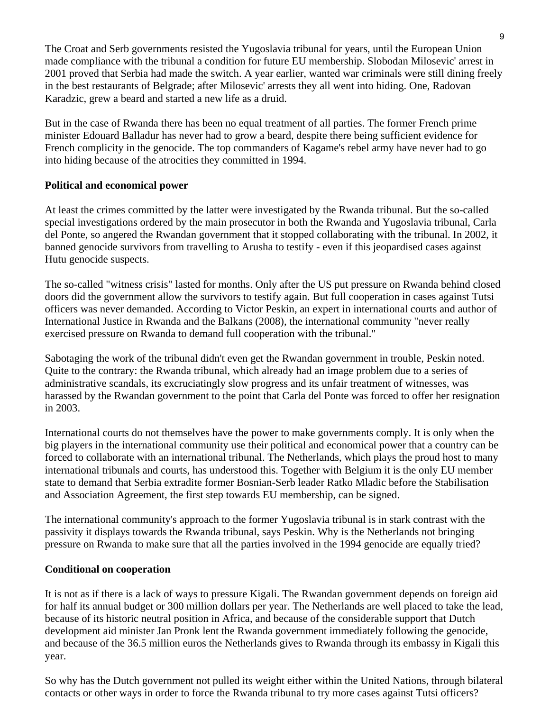The Croat and Serb governments resisted the Yugoslavia tribunal for years, until the European Union made compliance with the tribunal a condition for future EU membership. Slobodan Milosevic' arrest in 2001 proved that Serbia had made the switch. A year earlier, wanted war criminals were still dining freely in the best restaurants of Belgrade; after Milosevic' arrests they all went into hiding. One, Radovan Karadzic, grew a beard and started a new life as a druid.

But in the case of Rwanda there has been no equal treatment of all parties. The former French prime minister Edouard Balladur has never had to grow a beard, despite there being sufficient evidence for French complicity in the genocide. The top commanders of Kagame's rebel army have never had to go into hiding because of the atrocities they committed in 1994.

# **Political and economical power**

At least the crimes committed by the latter were investigated by the Rwanda tribunal. But the so-called special investigations ordered by the main prosecutor in both the Rwanda and Yugoslavia tribunal, Carla del Ponte, so angered the Rwandan government that it stopped collaborating with the tribunal. In 2002, it banned genocide survivors from travelling to Arusha to testify - even if this jeopardised cases against Hutu genocide suspects.

The so-called "witness crisis" lasted for months. Only after the US put pressure on Rwanda behind closed doors did the government allow the survivors to testify again. But full cooperation in cases against Tutsi officers was never demanded. According to Victor Peskin, an expert in international courts and author of International Justice in Rwanda and the Balkans (2008), the international community "never really exercised pressure on Rwanda to demand full cooperation with the tribunal."

Sabotaging the work of the tribunal didn't even get the Rwandan government in trouble, Peskin noted. Quite to the contrary: the Rwanda tribunal, which already had an image problem due to a series of administrative scandals, its excruciatingly slow progress and its unfair treatment of witnesses, was harassed by the Rwandan government to the point that Carla del Ponte was forced to offer her resignation in 2003.

International courts do not themselves have the power to make governments comply. It is only when the big players in the international community use their political and economical power that a country can be forced to collaborate with an international tribunal. The Netherlands, which plays the proud host to many international tribunals and courts, has understood this. Together with Belgium it is the only EU member state to demand that Serbia extradite former Bosnian-Serb leader Ratko Mladic before the Stabilisation and Association Agreement, the first step towards EU membership, can be signed.

The international community's approach to the former Yugoslavia tribunal is in stark contrast with the passivity it displays towards the Rwanda tribunal, says Peskin. Why is the Netherlands not bringing pressure on Rwanda to make sure that all the parties involved in the 1994 genocide are equally tried?

# **Conditional on cooperation**

It is not as if there is a lack of ways to pressure Kigali. The Rwandan government depends on foreign aid for half its annual budget or 300 million dollars per year. The Netherlands are well placed to take the lead, because of its historic neutral position in Africa, and because of the considerable support that Dutch development aid minister Jan Pronk lent the Rwanda government immediately following the genocide, and because of the 36.5 million euros the Netherlands gives to Rwanda through its embassy in Kigali this year.

So why has the Dutch government not pulled its weight either within the United Nations, through bilateral contacts or other ways in order to force the Rwanda tribunal to try more cases against Tutsi officers?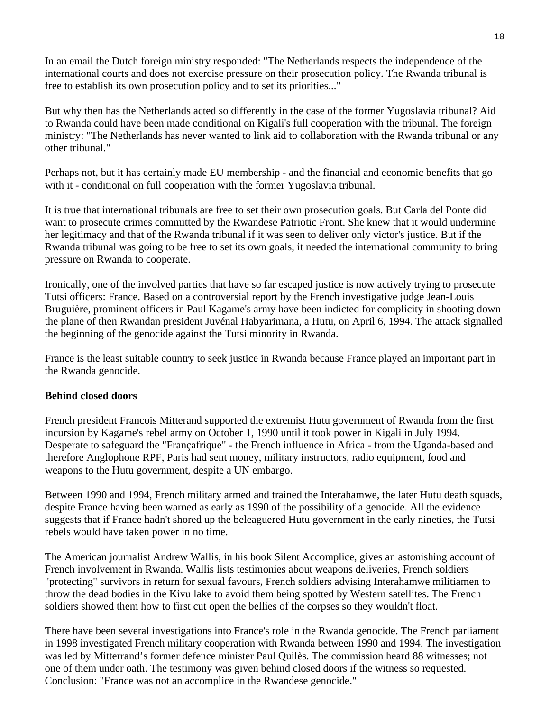In an email the Dutch foreign ministry responded: "The Netherlands respects the independence of the international courts and does not exercise pressure on their prosecution policy. The Rwanda tribunal is free to establish its own prosecution policy and to set its priorities..."

But why then has the Netherlands acted so differently in the case of the former Yugoslavia tribunal? Aid to Rwanda could have been made conditional on Kigali's full cooperation with the tribunal. The foreign ministry: "The Netherlands has never wanted to link aid to collaboration with the Rwanda tribunal or any other tribunal."

Perhaps not, but it has certainly made EU membership - and the financial and economic benefits that go with it - conditional on full cooperation with the former Yugoslavia tribunal.

It is true that international tribunals are free to set their own prosecution goals. But Carla del Ponte did want to prosecute crimes committed by the Rwandese Patriotic Front. She knew that it would undermine her legitimacy and that of the Rwanda tribunal if it was seen to deliver only victor's justice. But if the Rwanda tribunal was going to be free to set its own goals, it needed the international community to bring pressure on Rwanda to cooperate.

Ironically, one of the involved parties that have so far escaped justice is now actively trying to prosecute Tutsi officers: France. Based on a controversial report by the French investigative judge Jean-Louis Bruguière, prominent officers in Paul Kagame's army have been indicted for complicity in shooting down the plane of then Rwandan president Juvénal Habyarimana, a Hutu, on April 6, 1994. The attack signalled the beginning of the genocide against the Tutsi minority in Rwanda.

France is the least suitable country to seek justice in Rwanda because France played an important part in the Rwanda genocide.

#### **Behind closed doors**

French president Francois Mitterand supported the extremist Hutu government of Rwanda from the first incursion by Kagame's rebel army on October 1, 1990 until it took power in Kigali in July 1994. Desperate to safeguard the "Françafrique" - the French influence in Africa - from the Uganda-based and therefore Anglophone RPF, Paris had sent money, military instructors, radio equipment, food and weapons to the Hutu government, despite a UN embargo.

Between 1990 and 1994, French military armed and trained the Interahamwe, the later Hutu death squads, despite France having been warned as early as 1990 of the possibility of a genocide. All the evidence suggests that if France hadn't shored up the beleaguered Hutu government in the early nineties, the Tutsi rebels would have taken power in no time.

The American journalist Andrew Wallis, in his book Silent Accomplice, gives an astonishing account of French involvement in Rwanda. Wallis lists testimonies about weapons deliveries, French soldiers "protecting" survivors in return for sexual favours, French soldiers advising Interahamwe militiamen to throw the dead bodies in the Kivu lake to avoid them being spotted by Western satellites. The French soldiers showed them how to first cut open the bellies of the corpses so they wouldn't float.

There have been several investigations into France's role in the Rwanda genocide. The French parliament in 1998 investigated French military cooperation with Rwanda between 1990 and 1994. The investigation was led by Mitterrand's former defence minister Paul Quilès. The commission heard 88 witnesses; not one of them under oath. The testimony was given behind closed doors if the witness so requested. Conclusion: "France was not an accomplice in the Rwandese genocide."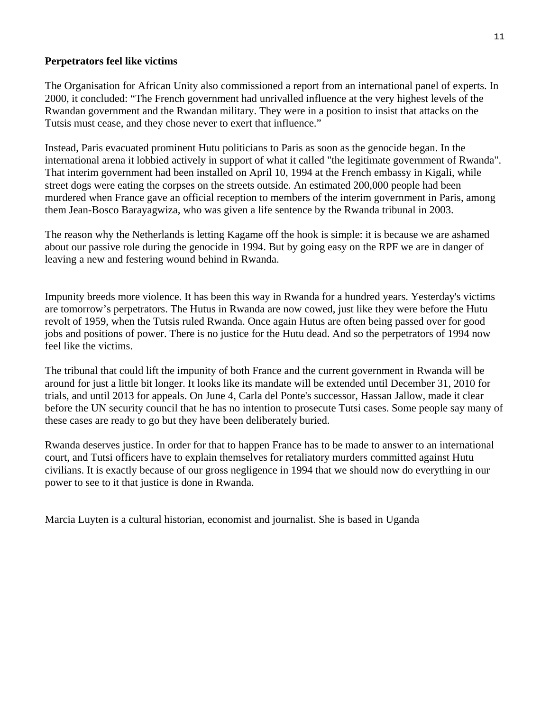### **Perpetrators feel like victims**

The Organisation for African Unity also commissioned a report from an international panel of experts. In 2000, it concluded: "The French government had unrivalled influence at the very highest levels of the Rwandan government and the Rwandan military. They were in a position to insist that attacks on the Tutsis must cease, and they chose never to exert that influence."

Instead, Paris evacuated prominent Hutu politicians to Paris as soon as the genocide began. In the international arena it lobbied actively in support of what it called "the legitimate government of Rwanda". That interim government had been installed on April 10, 1994 at the French embassy in Kigali, while street dogs were eating the corpses on the streets outside. An estimated 200,000 people had been murdered when France gave an official reception to members of the interim government in Paris, among them Jean-Bosco Barayagwiza, who was given a life sentence by the Rwanda tribunal in 2003.

The reason why the Netherlands is letting Kagame off the hook is simple: it is because we are ashamed about our passive role during the genocide in 1994. But by going easy on the RPF we are in danger of leaving a new and festering wound behind in Rwanda.

Impunity breeds more violence. It has been this way in Rwanda for a hundred years. Yesterday's victims are tomorrow's perpetrators. The Hutus in Rwanda are now cowed, just like they were before the Hutu revolt of 1959, when the Tutsis ruled Rwanda. Once again Hutus are often being passed over for good jobs and positions of power. There is no justice for the Hutu dead. And so the perpetrators of 1994 now feel like the victims.

The tribunal that could lift the impunity of both France and the current government in Rwanda will be around for just a little bit longer. It looks like its mandate will be extended until December 31, 2010 for trials, and until 2013 for appeals. On June 4, Carla del Ponte's successor, Hassan Jallow, made it clear before the UN security council that he has no intention to prosecute Tutsi cases. Some people say many of these cases are ready to go but they have been deliberately buried.

Rwanda deserves justice. In order for that to happen France has to be made to answer to an international court, and Tutsi officers have to explain themselves for retaliatory murders committed against Hutu civilians. It is exactly because of our gross negligence in 1994 that we should now do everything in our power to see to it that justice is done in Rwanda.

Marcia Luyten is a cultural historian, economist and journalist. She is based in Uganda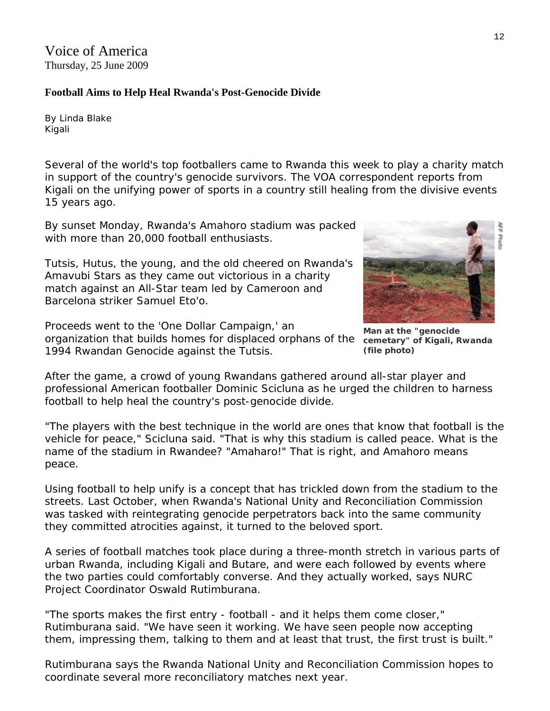Voice of America Thursday, 25 June 2009

### **Football Aims to Help Heal Rwanda's Post-Genocide Divide**

By Linda Blake Kigali

Several of the world's top footballers came to Rwanda this week to play a charity match in support of the country's genocide survivors. The VOA correspondent reports from Kigali on the unifying power of sports in a country still healing from the divisive events 15 years ago.

By sunset Monday, Rwanda's Amahoro stadium was packed with more than 20,000 football enthusiasts.

Tutsis, Hutus, the young, and the old cheered on Rwanda's Amavubi Stars as they came out victorious in a charity match against an All-Star team led by Cameroon and Barcelona striker Samuel Eto'o.

Proceeds went to the 'One Dollar Campaign,' an organization that builds homes for displaced orphans of the **cemetary" of Kigali, Rwanda**  1994 Rwandan Genocide against the Tutsis.

**(file photo)** 

After the game, a crowd of young Rwandans gathered around all-star player and professional American footballer Dominic Scicluna as he urged the children to harness football to help heal the country's post-genocide divide.

"The players with the best technique in the world are ones that know that football is the vehicle for peace," Scicluna said. "That is why this stadium is called peace. What is the name of the stadium in Rwandee? "Amaharo!" That is right, and Amahoro means peace.

Using football to help unify is a concept that has trickled down from the stadium to the streets. Last October, when Rwanda's National Unity and Reconciliation Commission was tasked with reintegrating genocide perpetrators back into the same community they committed atrocities against, it turned to the beloved sport.

A series of football matches took place during a three-month stretch in various parts of urban Rwanda, including Kigali and Butare, and were each followed by events where the two parties could comfortably converse. And they actually worked, says NURC Project Coordinator Oswald Rutimburana.

"The sports makes the first entry - football - and it helps them come closer," Rutimburana said. "We have seen it working. We have seen people now accepting them, impressing them, talking to them and at least that trust, the first trust is built."

Rutimburana says the Rwanda National Unity and Reconciliation Commission hopes to coordinate several more reconciliatory matches next year.

**Man at the "genocide** 

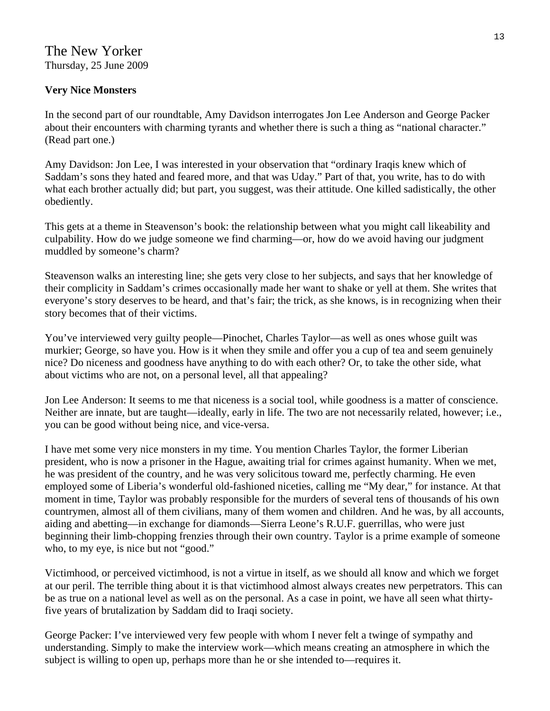# **Very Nice Monsters**

In the second part of our roundtable, Amy Davidson interrogates Jon Lee Anderson and George Packer about their encounters with charming tyrants and whether there is such a thing as "national character." (Read part one.)

Amy Davidson: Jon Lee, I was interested in your observation that "ordinary Iraqis knew which of Saddam's sons they hated and feared more, and that was Uday." Part of that, you write, has to do with what each brother actually did; but part, you suggest, was their attitude. One killed sadistically, the other obediently.

This gets at a theme in Steavenson's book: the relationship between what you might call likeability and culpability. How do we judge someone we find charming—or, how do we avoid having our judgment muddled by someone's charm?

Steavenson walks an interesting line; she gets very close to her subjects, and says that her knowledge of their complicity in Saddam's crimes occasionally made her want to shake or yell at them. She writes that everyone's story deserves to be heard, and that's fair; the trick, as she knows, is in recognizing when their story becomes that of their victims.

You've interviewed very guilty people—Pinochet, Charles Taylor—as well as ones whose guilt was murkier; George, so have you. How is it when they smile and offer you a cup of tea and seem genuinely nice? Do niceness and goodness have anything to do with each other? Or, to take the other side, what about victims who are not, on a personal level, all that appealing?

Jon Lee Anderson: It seems to me that niceness is a social tool, while goodness is a matter of conscience. Neither are innate, but are taught—ideally, early in life. The two are not necessarily related, however; i.e., you can be good without being nice, and vice-versa.

I have met some very nice monsters in my time. You mention Charles Taylor, the former Liberian president, who is now a prisoner in the Hague, awaiting trial for crimes against humanity. When we met, he was president of the country, and he was very solicitous toward me, perfectly charming. He even employed some of Liberia's wonderful old-fashioned niceties, calling me "My dear," for instance. At that moment in time, Taylor was probably responsible for the murders of several tens of thousands of his own countrymen, almost all of them civilians, many of them women and children. And he was, by all accounts, aiding and abetting—in exchange for diamonds—Sierra Leone's R.U.F. guerrillas, who were just beginning their limb-chopping frenzies through their own country. Taylor is a prime example of someone who, to my eye, is nice but not "good."

Victimhood, or perceived victimhood, is not a virtue in itself, as we should all know and which we forget at our peril. The terrible thing about it is that victimhood almost always creates new perpetrators. This can be as true on a national level as well as on the personal. As a case in point, we have all seen what thirtyfive years of brutalization by Saddam did to Iraqi society.

George Packer: I've interviewed very few people with whom I never felt a twinge of sympathy and understanding. Simply to make the interview work—which means creating an atmosphere in which the subject is willing to open up, perhaps more than he or she intended to—requires it.